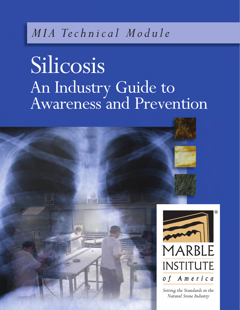# *M I A Te c h n i c a l M o d u l e*

# Silicosis An Industry Guide to Awareness and Prevention

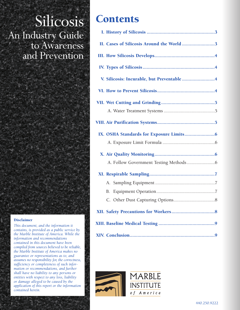# **Silicosis** An Industry Guide to Awareness and Prevention

#### **Disclaimer**

*This document, and the information it contains, is provided as a public service by the Marble Institute of America. While the information and recommendations contained in this document have been compiled from sources believed to be reliable, the Marble Institute of America makes no guarantee or representations as to, and assumes no responsibility for, the correctness, sufficiency or completeness of such information or recommendations, and further shall have no liability to any persons or entities with respect to any loss, liability or damage alleged to be caused by the application of this report or the information contained herein.*

## **Contents**

| II. Cases of Silicosis Around the World3  |
|-------------------------------------------|
|                                           |
|                                           |
| V. Silicosis: Incurable, but Preventable4 |
|                                           |
|                                           |
|                                           |
|                                           |
|                                           |
|                                           |
|                                           |
|                                           |
|                                           |
|                                           |
| В.                                        |
|                                           |
|                                           |
|                                           |
|                                           |

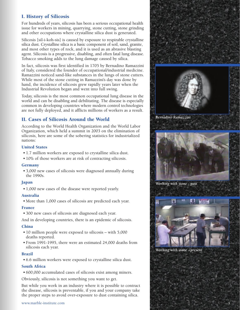#### **I. History of Silicosis**

For hundreds of years, silicosis has been a serious occupational health issue for workers in mining, quarrying, stone cutting, stone grinding and other occupations where crystalline silica dust is generated.

Silicosis [sil-i-koh-sis] is caused by exposure to respirable crystalline silica dust. Crystalline silica is a basic component of soil, sand, granite, and most other types of rock, and it is used as an abrasive blasting agent. Silicosis is a progressive, disabling, and often fatal lung disease. Tobacco smoking adds to the lung damage caused by silica.

In fact, silicosis was first identified in 1705 by Bernadino Ramazzini of Italy, considered the founder of occupational/industrial medicine. Ramazzini noticed sand-like substances in the lungs of stone cutters. While most of the stone cutting in Ramazzini's day was done by hand, the incidence of silicosis grew rapidly years later when the Industrial Revolution began and went into full swing.

Today, silicosis is the most common occupational lung disease in the world and can be disabling and debilitating. The disease is especially common in developing countries where modern control technologies are not fully deployed, and it afflicts millions of workers as a result.

#### **II. Cases of Silicosis Around the World**

According to the World Health Organization and the World Labor Organization, which held a summit in 2003 on the elimination of silicosis, here are some of the sobering statistics for industrialized nations:

#### **United States**

- 1.7 million workers are exposed to crystalline silica dust.
- 10% of those workers are at risk of contracting silicosis.

#### **Germany**

• 3,000 new cases of silicosis were diagnosed annually during the 1990s.

#### **Japan**

• 1,000 new cases of the disease were reported yearly.

#### **Australia**

• More than 1,000 cases of silicosis are predicted each year.

#### **France**

• 300 new cases of silicosis are diagnosed each year.

And in developing countries, there is an epidemic of silicosis.

#### **China**

- 10 million people were exposed to silicosis with 5,000 deaths reported.
- From 1991-1995, there were an estimated 24,000 deaths from silicosis each year.

#### **Brazil**

• 6.6 million workers were exposed to crystalline silica dust.

#### **South Africa**

• 600,000 accumulated cases of silicosis exist among miners.

Obviously, silicosis is not something you want to get.

But while you work in an industry where it is possible to contract the disease, silicosis is preventable, if you and your company take the proper steps to avoid over-exposure to dust containing silica.





*Bernadino Ramazzini*



*Working with stone - past*



*Working with stone - present*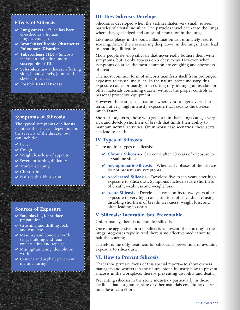#### **Effects of Silicosis**

- **✔ Lung cancer** Silica has been classified as a human lung carcinogen.
- **✔ Bronchitis/Chronic Obstructive Pulmonary Disorder**.
- **✔ Tuberculosis (TB)** Silicosis makes an individual more susceptible to TB.
- **✔ Scleroderma** a disease affecting skin, blood vessels, joints and skeletal muscles.
- **✔** Possible **Renal Disease**.

#### **Symptoms of Silicosis**

The typical symptoms of silicosis manifest themselves, depending on the severity of the disease, but can include:

- **✔** Fever
- **✔** Cough
- **✔** Weight loss/loss of appetite
- **✔** Severe breathing difficulty
- **✔** Trouble sleeping
- **✔** Chest pain
- **✔** Nails with a bluish tint

#### **Sources of Exposure**

- **✔** Sandblasting for surface preparation.
- **✔** Crushing and drilling rock and concrete.
- **✔** Masonry and concrete work (e.g., building and road construction and repair).
- **✔** Mining/tunneling; demolition work.
- **✔** Cement and asphalt pavement manufacturing.

#### **III. How Silicosis Develops**

Silicosis is developed when the victim inhales very small, unseen particles of crystalline silica. The particles travel deep into the lungs where they get lodged and cause inflammation in the lungs.

Like most places in the body, inflammation can ultimately lead to scarring. And if there is scarring deep down in the lungs, it can lead to breathing difficulties.

Many people develop silicosis that never really bothers them with symptoms, but it only appears on a chest x-ray. However, when symptoms do arise, the most common are coughing and shortness of breath.

The most common form of silicosis manifests itself from prolonged exposure to crystalline silica. In the natural stone industry, this exposure comes primarily from cutting or grinding granite, slate or other materials containing quartz, without the proper controls or personal protective equipment.

However, there are also situations where you can get a very short term, but very high intensity exposure that leads to the disease much faster.

Short or long term, those who get scars in their lungs can get very sick and develop shortness of breath that limits their ability to maintain normal activities. Or, in worst case scenarios, these scars can lead to death.

#### **IV. Types of Silicosis**

There are four types of silicosis:

- **✔ Chronic Silicosis** Can come after 20 years of exposure to crystalline silica.
- **✔ Asymptomatic Silicosis** When early phases of the disease do not present any symptoms.
- **✔ Accelerated Silicosis** Develops five to ten years after high exposure to silica dust. Symptoms include severe shortness of breath, weakness and weight loss.
- **✔ Acute Silicosis** Develops a few months to two years after exposure to very high concentrations of silica dust, causing disabling shortness of breath, weakness, weight loss, and often leading to death.

#### **V. Silicosis: Incurable, but Preventable**

Unfortunately, there is no cure for silicosis.

Once the aggressive form of silicosis is present, the scarring in the lungs progresses rapidly. And there is no effective medication to halt the scarring.

Therefore, the only treatment for silicosis is prevention, or avoiding exposure to silica dust.

#### **VI. How to Prevent Silicosis**

That is the primary focus of this special report – to show owners, managers and workers in the natural stone industry how to prevent silicosis in the workplace, thereby preventing disability and death.

Preventing silicosis in the stone industry - particularly in those facilities that cut granite, slate or other materials containing quartz must be a team effort.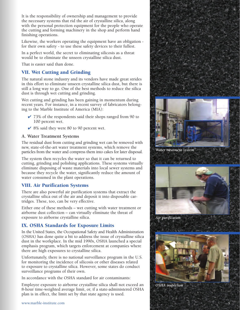It is the responsibility of ownership and management to provide the necessary systems that rid the air of crystalline silica, along with the personal protection equipment for the people who operate the cutting and forming machinery in the shop and perform hand finishing operations.

Likewise, the workers operating the equipment have an obligation for their own safety - to use these safety devices to their fullest.

In a perfect world, the secret to eliminating silicosis as a threat would be to eliminate the unseen crystalline silica dust.

That is easier said than done.

#### **VII. Wet Cutting and Grinding**

The natural stone industry and its vendors have made great strides in this effort to eliminate unseen crystalline silica dust, but there is still a long way to go. One of the best methods to reduce the silica dust is through wet cutting and grinding.

Wet cutting and grinding has been gaining in momentum during recent years. For instance, in a recent survey of fabricators belonging to the Marble Institute of America (MIA):

- **✔** 73% of the respondents said their shops ranged from 90 to 100 percent wet.
- **✔** 8% said they were 80 to 90 percent wet.

#### **A. Water Treatment Systems**

The residual dust from cutting and grinding wet can be removed with new, state-of-the-art water treatment systems, which remove the particles from the water and compress them into cakes for later disposal.

The system then recycles the water so that it can be returned to cutting, grinding and polishing applications. These systems virtually eliminate disposing of waste materials into local sewer systems and because they recycle the water, significantly reduce the amount of water consumed in the plant operations.

#### **VIII. Air Purification Systems**

There are also powerful air purification systems that extract the crystalline silica out of the air and deposit it into disposable cartridges. These, too, can be very effective.

Either one of these methods – wet cutting with water treatment or airborne dust collection – can virtually eliminate the threat of exposure to airborne crystalline silica.

#### **IX. OSHA Standards for Exposure Limits**

In the United States, the Occupational Safety and Health Administration (OSHA) has done quite a bit to address the issue of crystalline silica dust in the workplace. In the mid 1990s, OSHA launched a special emphasis program, which targets enforcement at companies where there are high exposures to crystalline silica.

Unfortunately, there is no national surveillance program in the U.S. for monitoring the incidence of silicosis or other diseases related to exposure to crystalline silica. However, some states do conduct surveillance programs of their own.

In accordance with the OSHA standard for air contaminants:

Employee exposure to airborne crystalline silica shall not exceed an 8-hour time-weighted average limit, or, if a state-administered OSHA plan is in effect, the limit set by that state agency is used.



*Water treatment system*



*Air purification*



*OSHA inspection*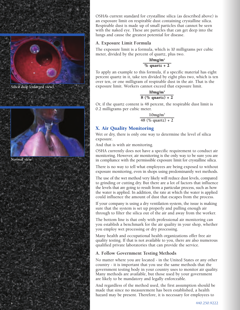

OSHA's current standard for crystalline silica (as described above) is an exposure limit on respirable dust containing crystalline silica. Respirable dust is made up of small particles that cannot be seen with the naked eye. These are particles that can get deep into the lungs and cause the greatest potential for disease.

#### **A. Exposure Limit Formula**

The exposure limit is a formula, which is 10 milligrams per cubic meter, divided by the percent of quartz, plus two.

> **10mg/m3**  $\frac{6}{6}$  **quartz** + 2

To apply an example to this formula, if a specific material has eight percent quartz in it, take ten divided by eight plus two, which is ten over ten, or one milligram of respirable dust in the air. That is the exposure limit. Workers cannot exceed that exposure limit.

```
10mg/m3
8 \frac{\%}{\%} quartz) + 2
```
Or, if the quartz content is 48 percent, the respirable dust limit is 0.2 milligrams per cubic meter.

```
10mg/m3
48 (% quartz) + 2
```
#### **X. Air Quality Monitoring**

Wet or dry, there is only one way to determine the level of silica exposure.

And that is with air monitoring.

OSHA currently does not have a specific requirement to conduct air monitoring. However, air monitoring is the only way to be sure you are in compliance with the permissible exposure limit for crystalline silica.

There is no way to tell what employees are being exposed to without exposure monitoring, even in shops using predominantly wet methods.

The use of the wet method very likely will reduce dust levels, compared to grinding or cutting dry. But there are a lot of factors that influence the levels that are going to result from a particular process, such as how the water is applied. In addition, the rate at which the water is applied could influence the amount of dust that escapes from the process.

If your company is using a dry ventilation system, the issue is making sure that the system is set up properly and pulling enough air through to filter the silica out of the air and away from the worker.

The bottom line is that only with professional air monitoring can you establish a benchmark for the air quality in your shop, whether you employ wet processing or dry processing.

Many health and occupational health organizations offer free air quality testing. If that is not available to you, there are also numerous qualified private laboratories that can provide the service.

#### **A. Follow Government Testing Methods**

No matter where you are located - in the United States or any other country - it is important that you use the same methods that the government testing body in your country uses to monitor air quality. Many methods are available, but those used by your government are likely to be mandatory and legally enforceable.

And regardless of the method used, the first assumption should be made that since no measurement has been established, a health hazard may be present. Therefore, it is necessary for employees to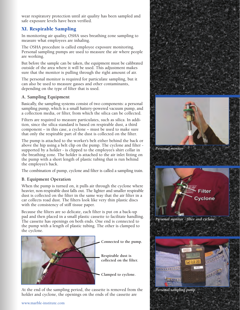wear respiratory protection until air quality has been sampled and safe exposure levels have been verified.

## **XI. Respirable Sampling**

In monitoring air quality, OSHA uses breathing zone sampling to measure what employees are inhaling.

The OSHA procedure is called employee exposure monitoring. Personal sampling pumps are used to measure the air where people are working.

But before the sample can be taken, the equipment must be calibrated outside of the area where it will be used. This adjustment makes sure that the monitor is pulling through the right amount of air.

The personal monitor is required for particulate sampling, but it can also be used to measure gasses and other contaminants, depending on the type of filter that is used.

#### **A. Sampling Equipment**

Basically, the sampling systems consist of two components: a personal sampling pump, which is a small battery-powered vacuum pump, and a collection media, or filter, from which the silica can be collected.

Filters are required to measure particulates, such as silica. In addition, since the silica standard is based on respirable dust, a third component – in this case, a cyclone – must be used to make sure that only the respirable part of the dust is collected on the filter.

The pump is attached to the worker's belt either behind the back or above the hip using a belt clip on the pump. The cyclone and filter supported by a holder - is clipped to the employee's shirt collar in the breathing zone. The holder is attached to the air inlet fitting on the pump with a short length of plastic tubing that is run behind the employee's back.

The combination of pump, cyclone and filter is called a sampling train.

#### **B. Equipment Operation**

When the pump is turned on, it pulls air through the cyclone where heavier, non-respirable dust falls out. The lighter and smaller respirable dust is collected on the filter in the same way that the air filter in a car collects road dust. The filters look like very thin plastic discs with the consistency of stiff tissue paper.

Because the filters are so delicate, each filter is put on a back-up pad and then placed in a small plastic cassette to facilitate handling. The cassette has openings on both ends. One end is connected to the pump with a length of plastic tubing. The other is clamped to the cyclone.



At the end of the sampling period, the cassette is removed from the holder and cyclone, the openings on the ends of the cassette are



*Personal sampling pump*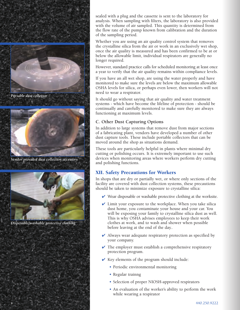

*Portable dust collector*



*Vendor provided dust collection accessory*



*Disposable/washable protective clothing*

sealed with a plug and the cassette is sent to the laboratory for analysis. When sampling with filters, the laboratory is also provided with the volume of air sampled. This quantity is determined from the flow rate of the pump known from calibration and the duration of the sampling period.

Whether you are using an air quality control system that removes the crystalline silica from the air or work in an exclusively wet shop, once the air quality is measured and has been confirmed to be at or below the allowable limit, individual respirators are generally no longer required.

However, standard practice calls for scheduled monitoring at least once a year to verify that the air quality remains within compliance levels.

If you have an all wet shop, are using the water properly and have monitored to make sure the levels are below the maximum allowable OSHA levels for silica, or perhaps even lower, then workers will not need to wear a respirator.

It should go without saying that air quality and water treatment systems - which have become the lifeline of protection - should be continually and carefully monitored to make sure they are always functioning at maximum levels.

#### **C. Other Dust Capturing Options**

In addition to large systems that remove dust from major sections of a fabricating plant, vendors have developed a number of other dust capture tools. These include portable collectors that can be moved around the shop as situations demand.

These tools are particularly helpful in plants where minimal dry cutting or polishing occurs. It is extremely important to use such devices when monitoring areas where workers perform dry cutting and polishing functions.

## **XII. Safety Precautions for Workers**

In shops that are dry or partially wet, or where only sections of the facility are covered with dust collection systems, these precautions should be taken to minimize exposure to crystalline silica:

- **✔** Wear disposable or washable protective clothing at the worksite.
- **✔** Limit your exposure to the workplace. When you take silica dust home, you contaminate your house and your car. You will be exposing your family to crystalline silica dust as well. This is why OSHA advises employees to keep their work clothes at work, and to wash and shower when possible before leaving at the end of the day..
- **✔** Always wear adequate respiratory protection as specified by your company.
- **✔** The employer must establish a comprehensive respiratory protection program.
- **✔** Key elements of the program should include:
	- Periodic environmental monitoring
	- Regular trainng
	- Selection of proper NIOSH-approved respirators
	- An evaluation of the worker's ability to perform the work while wearing a respirator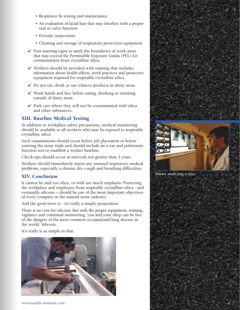- Respirator fit testing and maintenance
- An evaluation of facial hair that may interfere with a proper seal or valve function
- Periodic inspections
- Cleaning and storage of respiratory protection equipment
- **✔** Post warning signs to mark the boundaries of work areas that may exceed the Permissible Exposure Limits (PEL) for contamination from crystalline silica.
- **✔** Workers should be provided with training that includes information about health effects, work practices and protective equipment required for respirable crystalline silica.
- **✔** Do not eat, drink or use tobacco products in dusty areas.
- **✔** Wash hands and face before eating, drinking or smoking outside of dusty areas.
- **✔** Park cars where they will not be contaminated with silica and other substances.

#### **XIII. Baseline Medical Testing**

In addition to workplace safety precautions, medical monitoring should be available to all workers who may be exposed to respirable crystalline silica.

Such examinations should occur before job placement or before entering the stone trade and should include an x-ray and pulmonary function test to establish a worker baseline.

Check-ups should occur at intervals not greater than 3 years.

Workers should immediately report any unusual respiratory medical problems, especially a chronic dry cough and breathing difficulties.

#### **XIV. Conclusion**

It cannot be said too often, or with too much emphasis: Protecting the workplace and employees from respirable crystalline silica - and eventually silicosis – should be one of the most important objectives of every company in the natural stone industry.

And the good news is - it's really a simple proposition.

There is no cure for silicosis. But with the proper equipment, training, vigilance and continual monitoring, you and your shop can be free of the dangers of the most common occupational lung disease in the world: Silicosis.

It's really is as simple as that.









*Doctor analyzing x-rays*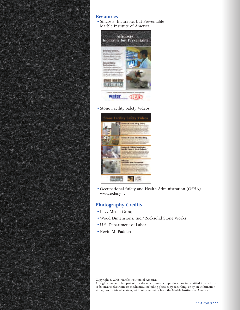

#### **Resources**

• Silicosis: Incurable, but Preventable Marble Institute of America



• Stone Facility Safety Videos



• Occupational Safety and Health Administration (OSHA) www.osha.gov

#### **Photography Credits**

- Levy Media Group
- Wood Dimensions, Inc./Rocksolid Stone Works
- U.S. Department of Labor
- Kevin M. Padden

Copyright © 2008 Marble Institute of America

All rights reserved. No part of this document may be reproduced or transmitted in any form or by means electronic or mechanical including photocopy, recording, or by an information storage and retrieval system, without permission from the Marble Institute of America.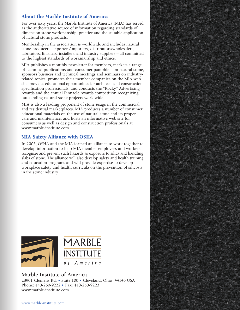#### **About the Marble Institute of America**

For over sixty years, the Marble Institute of America (MIA) has served as the authoritative source of information regarding standards of dimension stone workmanship, practice and the suitable application of natural stone products.

Membership in the association is worldwide and includes natural stone producers, exporters/importers, distributors/wholesalers, fabricators, finishers, installers, and industry suppliers – all committed to the highest standards of workmanship and ethics.

MIA publishes a monthly newsletter for members, markets a range of technical publications and consumer pamphlets on natural stone, sponsors business and technical meetings and seminars on industryrelated topics, promotes their member companies on the MIA web site, provides educational opportunities for architects and construction specification professionals, and conducts the "Rocky" Advertising Awards and the annual Pinnacle Awards competition recognizing outstanding natural stone projects worldwide.

MIA is also a leading proponent of stone usage in the commercial and residential marketplaces. MIA produces a number of consumer educational materials on the use of natural stone and its proper care and maintenance, and hosts an informative web site for consumers as well as design and construction professionals at www.marble-institute.com.

#### **MIA Safety Alliance with OSHA**

In 2005, OSHA and the MIA formed an alliance to work together to develop information to help MIA member employees and workers recognize and prevent such hazards as exposure to silica and handling slabs of stone. The alliance will also develop safety and health training and education programs and will provide expertise to develop workplace safety and health curricula on the prevention of silicosis in the stone industry.



#### **Marble Institute of America**

28901 Clemens Rd. • Suite 100 • Cleveland, Ohio 44145 USA Phone: 440-250-9222 • Fax: 440-250-9223 www.marble-institute.com